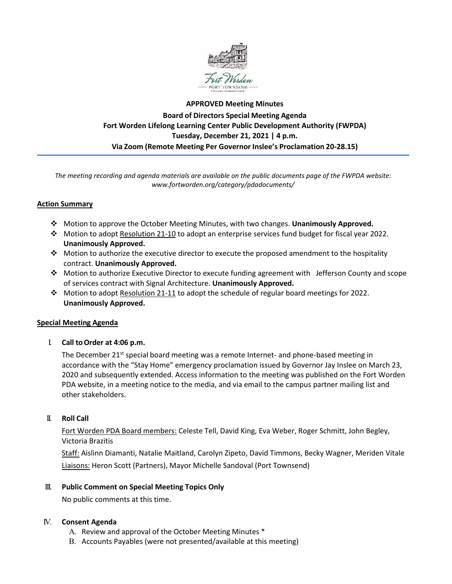

# **APPROVED Meeting Minutes Board of Directors Special Meeting Agenda Fort Worden Lifelong Learning Center Public Development Authority (FWPDA) Tuesday, December 21, 2021 | 4 p.m. Via Zoom (Remote Meeting Per Governor Inslee's Proclamation 20-28.15)**

*The meeting recording and agenda materials are available on the public documents page of the FWPDA website: www.fortworden.org/category/pdadocuments/*

### **Action Summary**

- Motion to approve the October Meeting Minutes, with two changes. **Unanimously Approved.**
- Motion to adopt Resolution 21-10 to adopt an enterprise services fund budget for fiscal year 2022. **Unanimously Approved.**
- $\cdot$  Motion to authorize the executive director to execute the proposed amendment to the hospitality contract. **Unanimously Approved.**
- Motion to authorize Executive Director to execute funding agreement with Jefferson County and scope of services contract with Signal Architecture. **Unanimously Approved.**
- Motion to adopt Resolution 21-11 to adopt the schedule of regular board meetings for 2022. **Unanimously Approved.**

#### **Special Meeting Agenda**

I. **Call toOrder at 4:06 p.m.**

The December  $21^{st}$  special board meeting was a remote Internet- and phone-based meeting in accordance with the "Stay Home" emergency proclamation issued by Governor Jay Inslee on March 23, 2020 and subsequently extended. Access information to the meeting was published on the Fort Worden PDA website, in a meeting notice to the media, and via email to the campus partner mailing list and other stakeholders.

#### II. **Roll Call**

Fort Worden PDA Board members: Celeste Tell, David King, Eva Weber, Roger Schmitt, John Begley, Victoria Brazitis

Staff: Aislinn Diamanti, Natalie Maitland, Carolyn Zipeto, David Timmons, Becky Wagner, Meriden Vitale Liaisons: Heron Scott (Partners), Mayor Michelle Sandoval (Port Townsend)

#### III. **Public Comment on Special Meeting Topics Only**

No public comments at this time.

#### IV. **Consent Agenda**

- A. Review and approval of the October Meeting Minutes \*
- B. Accounts Payables (were not presented/available at this meeting)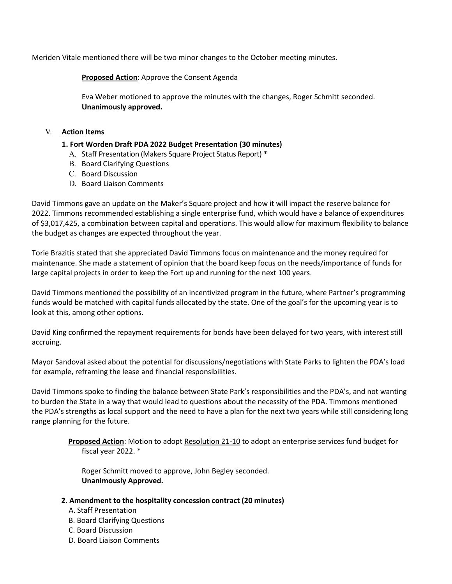Meriden Vitale mentioned there will be two minor changes to the October meeting minutes.

**Proposed Action**: Approve the Consent Agenda

Eva Weber motioned to approve the minutes with the changes, Roger Schmitt seconded. **Unanimously approved.**

## V. **Action Items**

### **1. Fort Worden Draft PDA 2022 Budget Presentation (30 minutes)**

- A. Staff Presentation (Makers Square Project Status Report) \*
- B. Board Clarifying Questions
- C. Board Discussion
- D. Board Liaison Comments

David Timmons gave an update on the Maker's Square project and how it will impact the reserve balance for 2022. Timmons recommended establishing a single enterprise fund, which would have a balance of expenditures of \$3,017,425, a combination between capital and operations. This would allow for maximum flexibility to balance the budget as changes are expected throughout the year.

Torie Brazitis stated that she appreciated David Timmons focus on maintenance and the money required for maintenance. She made a statement of opinion that the board keep focus on the needs/importance of funds for large capital projects in order to keep the Fort up and running for the next 100 years.

David Timmons mentioned the possibility of an incentivized program in the future, where Partner's programming funds would be matched with capital funds allocated by the state. One of the goal's for the upcoming year is to look at this, among other options.

David King confirmed the repayment requirements for bonds have been delayed for two years, with interest still accruing.

Mayor Sandoval asked about the potential for discussions/negotiations with State Parks to lighten the PDA's load for example, reframing the lease and financial responsibilities.

David Timmons spoke to finding the balance between State Park's responsibilities and the PDA's, and not wanting to burden the State in a way that would lead to questions about the necessity of the PDA. Timmons mentioned the PDA's strengths as local support and the need to have a plan for the next two years while still considering long range planning for the future.

**Proposed Action**: Motion to adopt Resolution 21-10 to adopt an enterprise services fund budget for fiscal year 2022. \*

Roger Schmitt moved to approve, John Begley seconded. **Unanimously Approved.**

#### **2. Amendment to the hospitality concession contract (20 minutes)**

- A. Staff Presentation
- B. Board Clarifying Questions
- C. Board Discussion
- D. Board Liaison Comments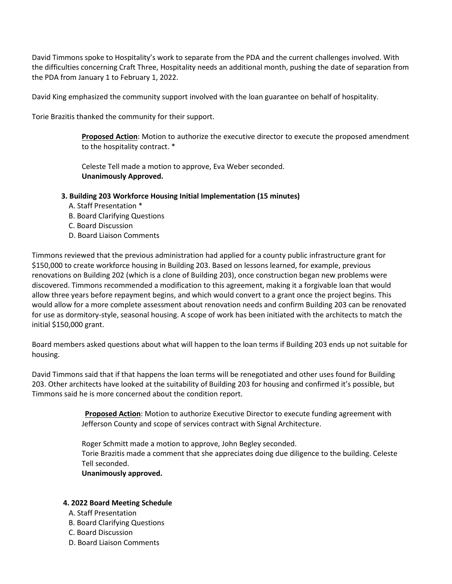David Timmons spoke to Hospitality's work to separate from the PDA and the current challenges involved. With the difficulties concerning Craft Three, Hospitality needs an additional month, pushing the date of separation from the PDA from January 1 to February 1, 2022.

David King emphasized the community support involved with the loan guarantee on behalf of hospitality.

Torie Brazitis thanked the community for their support.

**Proposed Action**: Motion to authorize the executive director to execute the proposed amendment to the hospitality contract. \*

Celeste Tell made a motion to approve, Eva Weber seconded. **Unanimously Approved.**

- **3. Building 203 Workforce Housing Initial Implementation (15 minutes)**
	- A. Staff Presentation \*
	- B. Board Clarifying Questions
	- C. Board Discussion
	- D. Board Liaison Comments

Timmons reviewed that the previous administration had applied for a county public infrastructure grant for \$150,000 to create workforce housing in Building 203. Based on lessons learned, for example, previous renovations on Building 202 (which is a clone of Building 203), once construction began new problems were discovered. Timmons recommended a modification to this agreement, making it a forgivable loan that would allow three years before repayment begins, and which would convert to a grant once the project begins. This would allow for a more complete assessment about renovation needs and confirm Building 203 can be renovated for use as dormitory-style, seasonal housing. A scope of work has been initiated with the architects to match the initial \$150,000 grant.

Board members asked questions about what will happen to the loan terms if Building 203 ends up not suitable for housing.

David Timmons said that if that happens the loan terms will be renegotiated and other uses found for Building 203. Other architects have looked at the suitability of Building 203 for housing and confirmed it's possible, but Timmons said he is more concerned about the condition report.

> **Proposed Action**: Motion to authorize Executive Director to execute funding agreement with Jefferson County and scope of services contract with Signal Architecture.

Roger Schmitt made a motion to approve, John Begley seconded. Torie Brazitis made a comment that she appreciates doing due diligence to the building. Celeste Tell seconded. **Unanimously approved.**

# **4. 2022 Board Meeting Schedule**

- A. Staff Presentation
- B. Board Clarifying Questions
- C. Board Discussion
- D. Board Liaison Comments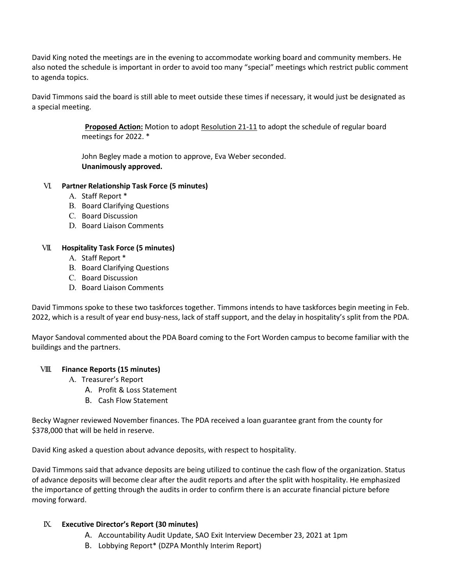David King noted the meetings are in the evening to accommodate working board and community members. He also noted the schedule is important in order to avoid too many "special" meetings which restrict public comment to agenda topics.

David Timmons said the board is still able to meet outside these times if necessary, it would just be designated as a special meeting.

> **Proposed Action:** Motion to adopt Resolution 21-11 to adopt the schedule of regular board meetings for 2022. \*

John Begley made a motion to approve, Eva Weber seconded. **Unanimously approved.**

### VI. **Partner Relationship Task Force (5 minutes)**

- A. Staff Report \*
- B. Board Clarifying Questions
- C. Board Discussion
- D. Board Liaison Comments

#### VII. **Hospitality Task Force (5 minutes)**

- A. Staff Report \*
- B. Board Clarifying Questions
- C. Board Discussion
- D. Board Liaison Comments

David Timmons spoke to these two taskforces together. Timmons intends to have taskforces begin meeting in Feb. 2022, which is a result of year end busy-ness, lack of staff support, and the delay in hospitality's split from the PDA.

Mayor Sandoval commented about the PDA Board coming to the Fort Worden campus to become familiar with the buildings and the partners.

#### VIII. **Finance Reports (15 minutes)**

- A. Treasurer's Report
	- A. Profit & Loss Statement
	- B. Cash Flow Statement

Becky Wagner reviewed November finances. The PDA received a loan guarantee grant from the county for \$378,000 that will be held in reserve.

David King asked a question about advance deposits, with respect to hospitality.

David Timmons said that advance deposits are being utilized to continue the cash flow of the organization. Status of advance deposits will become clear after the audit reports and after the split with hospitality. He emphasized the importance of getting through the audits in order to confirm there is an accurate financial picture before moving forward.

#### IX. **Executive Director's Report (30 minutes)**

- A. Accountability Audit Update, SAO Exit Interview December 23, 2021 at 1pm
- B. Lobbying Report\* (DZPA Monthly Interim Report)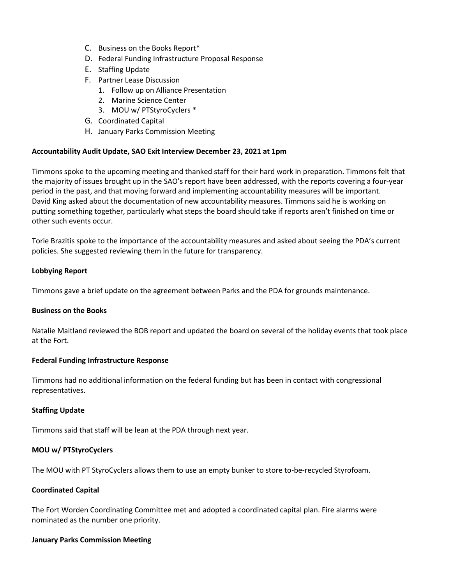- C. Business on the Books Report\*
- D. Federal Funding Infrastructure Proposal Response
- E. Staffing Update
- F. Partner Lease Discussion
	- 1. Follow up on Alliance Presentation
	- 2. Marine Science Center
	- 3. MOU w/ PTStyroCyclers \*
- G. Coordinated Capital
- H. January Parks Commission Meeting

#### **Accountability Audit Update, SAO Exit Interview December 23, 2021 at 1pm**

Timmons spoke to the upcoming meeting and thanked staff for their hard work in preparation. Timmons felt that the majority of issues brought up in the SAO's report have been addressed, with the reports covering a four-year period in the past, and that moving forward and implementing accountability measures will be important. David King asked about the documentation of new accountability measures. Timmons said he is working on putting something together, particularly what steps the board should take if reports aren't finished on time or other such events occur.

Torie Brazitis spoke to the importance of the accountability measures and asked about seeing the PDA's current policies. She suggested reviewing them in the future for transparency.

#### **Lobbying Report**

Timmons gave a brief update on the agreement between Parks and the PDA for grounds maintenance.

#### **Business on the Books**

Natalie Maitland reviewed the BOB report and updated the board on several of the holiday events that took place at the Fort.

#### **Federal Funding Infrastructure Response**

Timmons had no additional information on the federal funding but has been in contact with congressional representatives.

#### **Staffing Update**

Timmons said that staff will be lean at the PDA through next year.

#### **MOU w/ PTStyroCyclers**

The MOU with PT StyroCyclers allows them to use an empty bunker to store to-be-recycled Styrofoam.

#### **Coordinated Capital**

The Fort Worden Coordinating Committee met and adopted a coordinated capital plan. Fire alarms were nominated as the number one priority.

#### **January Parks Commission Meeting**